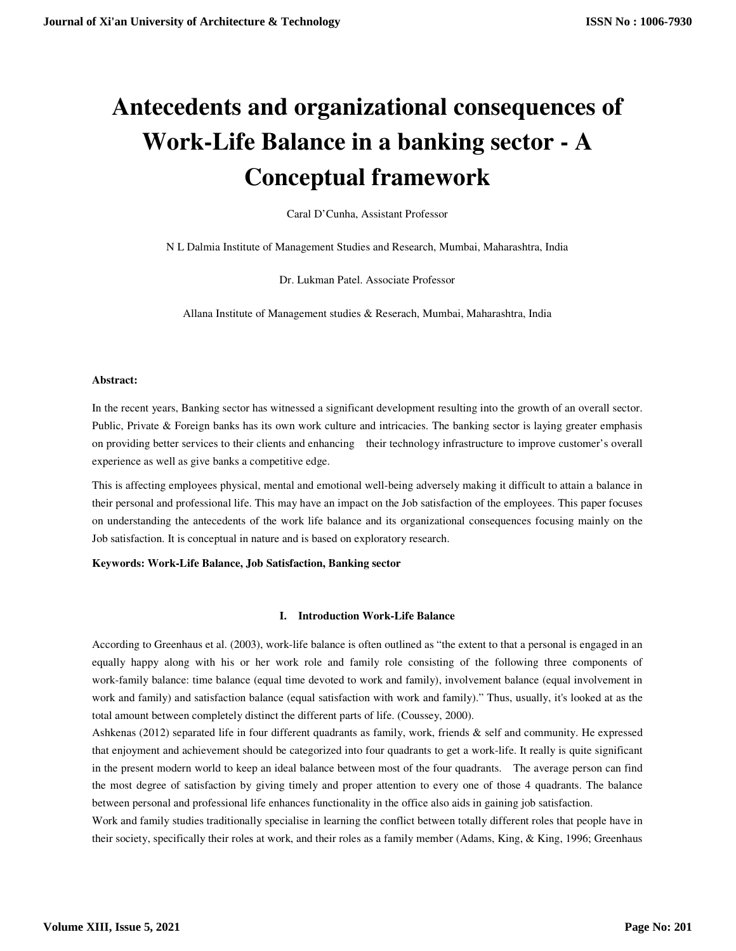# **Antecedents and organizational consequences of Work-Life Balance in a banking sector - A Conceptual framework**

Caral D'Cunha, Assistant Professor

N L Dalmia Institute of Management Studies and Research, Mumbai, Maharashtra, India

Dr. Lukman Patel. Associate Professor

Allana Institute of Management studies & Reserach, Mumbai, Maharashtra, India

#### **Abstract:**

In the recent years, Banking sector has witnessed a significant development resulting into the growth of an overall sector. Public, Private & Foreign banks has its own work culture and intricacies. The banking sector is laying greater emphasis on providing better services to their clients and enhancing their technology infrastructure to improve customer's overall experience as well as give banks a competitive edge.

This is affecting employees physical, mental and emotional well-being adversely making it difficult to attain a balance in their personal and professional life. This may have an impact on the Job satisfaction of the employees. This paper focuses on understanding the antecedents of the work life balance and its organizational consequences focusing mainly on the Job satisfaction. It is conceptual in nature and is based on exploratory research.

#### **Keywords: Work-Life Balance, Job Satisfaction, Banking sector**

# **I. Introduction Work-Life Balance**

According to Greenhaus et al. (2003), work-life balance is often outlined as "the extent to that a personal is engaged in an equally happy along with his or her work role and family role consisting of the following three components of work-family balance: time balance (equal time devoted to work and family), involvement balance (equal involvement in work and family) and satisfaction balance (equal satisfaction with work and family)." Thus, usually, it's looked at as the total amount between completely distinct the different parts of life. (Coussey, 2000).

Ashkenas (2012) separated life in four different quadrants as family, work, friends & self and community. He expressed that enjoyment and achievement should be categorized into four quadrants to get a work-life. It really is quite significant in the present modern world to keep an ideal balance between most of the four quadrants. The average person can find the most degree of satisfaction by giving timely and proper attention to every one of those 4 quadrants. The balance between personal and professional life enhances functionality in the office also aids in gaining job satisfaction.

Work and family studies traditionally specialise in learning the conflict between totally different roles that people have in their society, specifically their roles at work, and their roles as a family member (Adams, King, & King, 1996; Greenhaus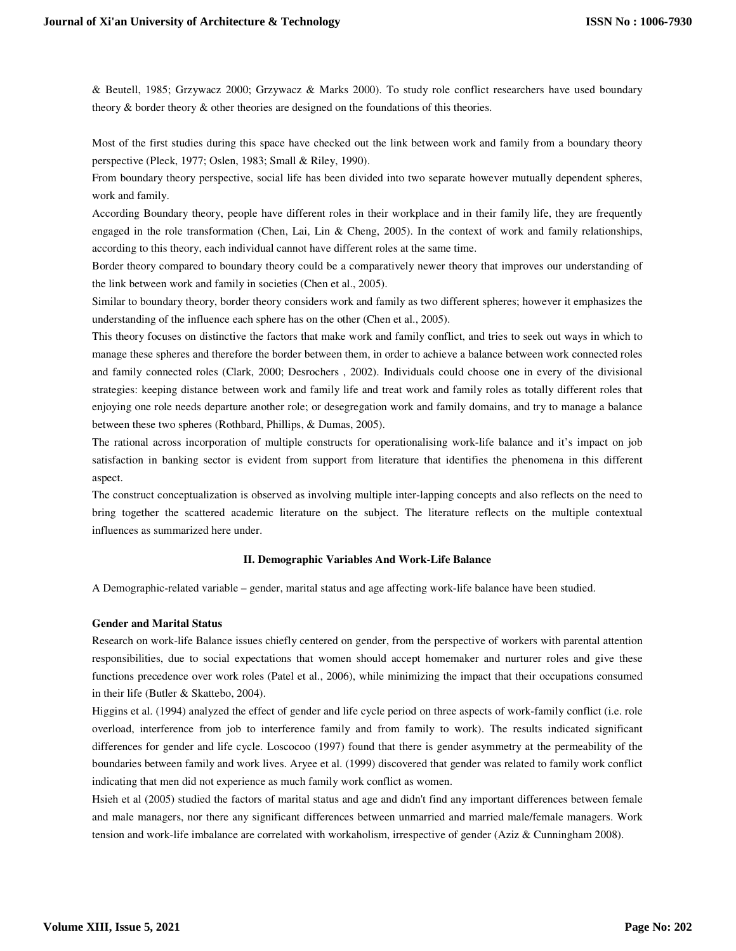& Beutell, 1985; Grzywacz 2000; Grzywacz & Marks 2000). To study role conflict researchers have used boundary theory & border theory & other theories are designed on the foundations of this theories.

Most of the first studies during this space have checked out the link between work and family from a boundary theory perspective (Pleck, 1977; Oslen, 1983; Small & Riley, 1990).

From boundary theory perspective, social life has been divided into two separate however mutually dependent spheres, work and family.

According Boundary theory, people have different roles in their workplace and in their family life, they are frequently engaged in the role transformation (Chen, Lai, Lin & Cheng, 2005). In the context of work and family relationships, according to this theory, each individual cannot have different roles at the same time.

Border theory compared to boundary theory could be a comparatively newer theory that improves our understanding of the link between work and family in societies (Chen et al., 2005).

Similar to boundary theory, border theory considers work and family as two different spheres; however it emphasizes the understanding of the influence each sphere has on the other (Chen et al., 2005).

This theory focuses on distinctive the factors that make work and family conflict, and tries to seek out ways in which to manage these spheres and therefore the border between them, in order to achieve a balance between work connected roles and family connected roles (Clark, 2000; Desrochers , 2002). Individuals could choose one in every of the divisional strategies: keeping distance between work and family life and treat work and family roles as totally different roles that enjoying one role needs departure another role; or desegregation work and family domains, and try to manage a balance between these two spheres (Rothbard, Phillips, & Dumas, 2005).

The rational across incorporation of multiple constructs for operationalising work-life balance and it's impact on job satisfaction in banking sector is evident from support from literature that identifies the phenomena in this different aspect.

The construct conceptualization is observed as involving multiple inter-lapping concepts and also reflects on the need to bring together the scattered academic literature on the subject. The literature reflects on the multiple contextual influences as summarized here under.

#### **II. Demographic Variables And Work-Life Balance**

A Demographic-related variable – gender, marital status and age affecting work-life balance have been studied.

## **Gender and Marital Status**

Research on work-life Balance issues chiefly centered on gender, from the perspective of workers with parental attention responsibilities, due to social expectations that women should accept homemaker and nurturer roles and give these functions precedence over work roles (Patel et al., 2006), while minimizing the impact that their occupations consumed in their life (Butler & Skattebo, 2004).

Higgins et al. (1994) analyzed the effect of gender and life cycle period on three aspects of work-family conflict (i.e. role overload, interference from job to interference family and from family to work). The results indicated significant differences for gender and life cycle. Loscocoo (1997) found that there is gender asymmetry at the permeability of the boundaries between family and work lives. Aryee et al. (1999) discovered that gender was related to family work conflict indicating that men did not experience as much family work conflict as women.

Hsieh et al (2005) studied the factors of marital status and age and didn't find any important differences between female and male managers, nor there any significant differences between unmarried and married male/female managers. Work tension and work-life imbalance are correlated with workaholism, irrespective of gender (Aziz & Cunningham 2008).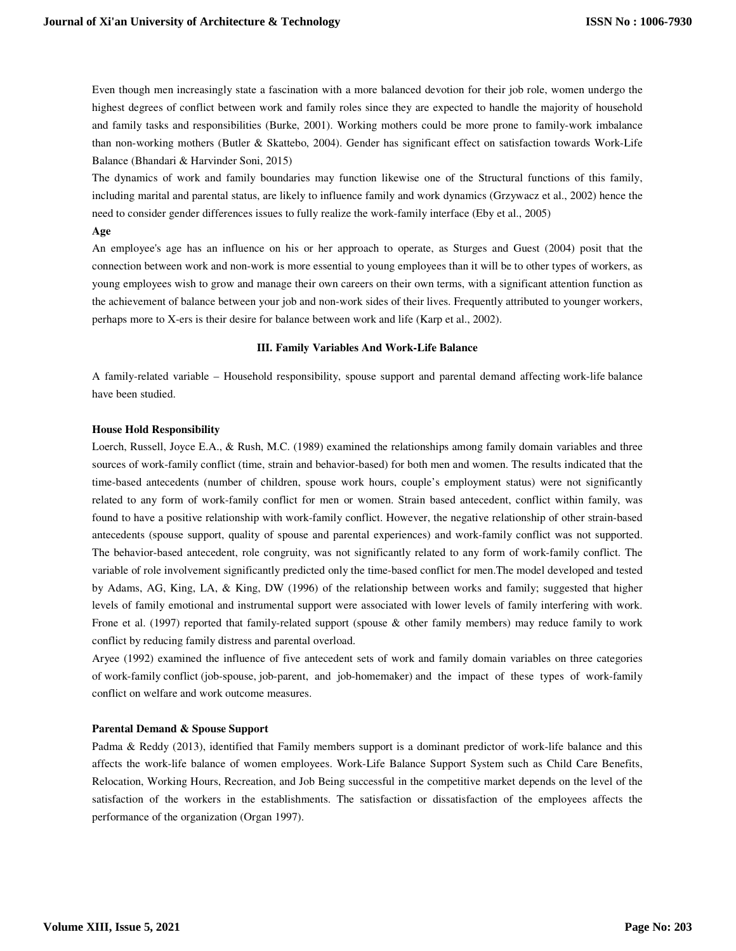Even though men increasingly state a fascination with a more balanced devotion for their job role, women undergo the highest degrees of conflict between work and family roles since they are expected to handle the majority of household and family tasks and responsibilities (Burke, 2001). Working mothers could be more prone to family-work imbalance than non-working mothers (Butler & Skattebo, 2004). Gender has significant effect on satisfaction towards Work-Life Balance (Bhandari & Harvinder Soni, 2015)

The dynamics of work and family boundaries may function likewise one of the Structural functions of this family, including marital and parental status, are likely to influence family and work dynamics (Grzywacz et al., 2002) hence the need to consider gender differences issues to fully realize the work-family interface (Eby et al., 2005)

#### **Age**

An employee's age has an influence on his or her approach to operate, as Sturges and Guest (2004) posit that the connection between work and non-work is more essential to young employees than it will be to other types of workers, as young employees wish to grow and manage their own careers on their own terms, with a significant attention function as the achievement of balance between your job and non-work sides of their lives. Frequently attributed to younger workers, perhaps more to X-ers is their desire for balance between work and life (Karp et al., 2002).

## **III. Family Variables And Work-Life Balance**

A family-related variable – Household responsibility, spouse support and parental demand affecting work-life balance have been studied.

#### **House Hold Responsibility**

Loerch, Russell, Joyce E.A., & Rush, M.C. (1989) examined the relationships among family domain variables and three sources of work-family conflict (time, strain and behavior-based) for both men and women. The results indicated that the time-based antecedents (number of children, spouse work hours, couple's employment status) were not significantly related to any form of work-family conflict for men or women. Strain based antecedent, conflict within family, was found to have a positive relationship with work-family conflict. However, the negative relationship of other strain-based antecedents (spouse support, quality of spouse and parental experiences) and work-family conflict was not supported. The behavior-based antecedent, role congruity, was not significantly related to any form of work-family conflict. The variable of role involvement significantly predicted only the time-based conflict for men.The model developed and tested by Adams, AG, King, LA, & King, DW (1996) of the relationship between works and family; suggested that higher levels of family emotional and instrumental support were associated with lower levels of family interfering with work. Frone et al. (1997) reported that family-related support (spouse & other family members) may reduce family to work conflict by reducing family distress and parental overload.

Aryee (1992) examined the influence of five antecedent sets of work and family domain variables on three categories of work-family conflict (job-spouse, job-parent, and job-homemaker) and the impact of these types of work-family conflict on welfare and work outcome measures.

## **Parental Demand & Spouse Support**

Padma & Reddy (2013), identified that Family members support is a dominant predictor of work-life balance and this affects the work-life balance of women employees. Work-Life Balance Support System such as Child Care Benefits, Relocation, Working Hours, Recreation, and Job Being successful in the competitive market depends on the level of the satisfaction of the workers in the establishments. The satisfaction or dissatisfaction of the employees affects the performance of the organization (Organ 1997).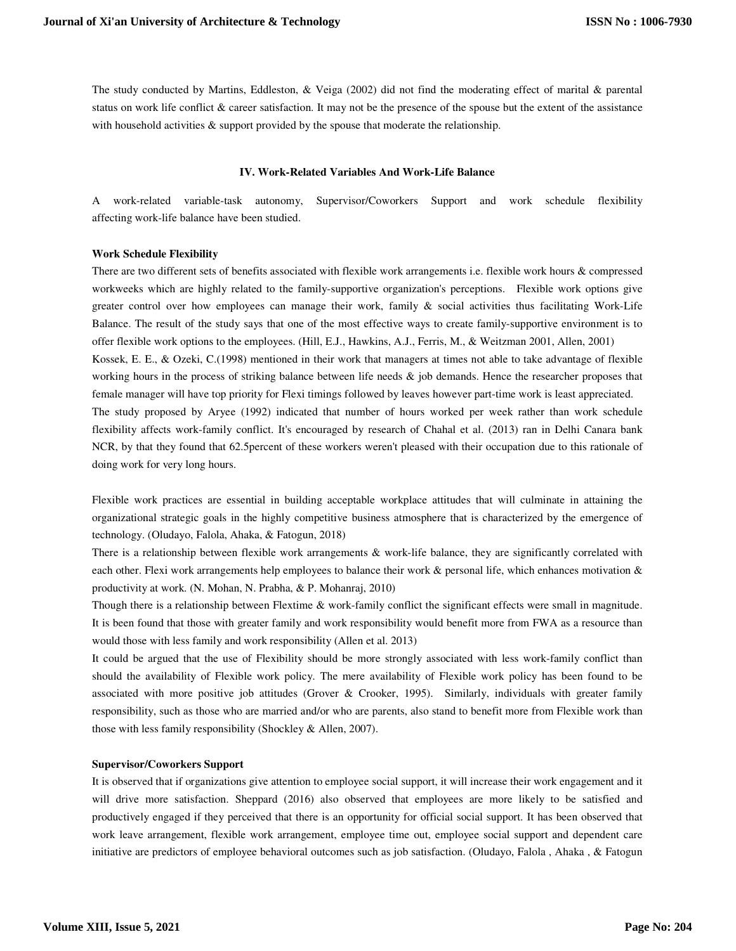The study conducted by Martins, Eddleston, & Veiga (2002) did not find the moderating effect of marital & parental status on work life conflict & career satisfaction. It may not be the presence of the spouse but the extent of the assistance with household activities  $\&$  support provided by the spouse that moderate the relationship.

#### **IV. Work-Related Variables And Work-Life Balance**

A work-related variable-task autonomy, Supervisor/Coworkers Support and work schedule flexibility affecting work-life balance have been studied.

## **Work Schedule Flexibility**

There are two different sets of benefits associated with flexible work arrangements i.e. flexible work hours & compressed workweeks which are highly related to the family-supportive organization's perceptions. Flexible work options give greater control over how employees can manage their work, family & social activities thus facilitating Work-Life Balance. The result of the study says that one of the most effective ways to create family-supportive environment is to offer flexible work options to the employees. (Hill, E.J., Hawkins, A.J., Ferris, M., & Weitzman 2001, Allen, 2001) Kossek, E. E., & Ozeki, C.(1998) mentioned in their work that managers at times not able to take advantage of flexible working hours in the process of striking balance between life needs & job demands. Hence the researcher proposes that female manager will have top priority for Flexi timings followed by leaves however part-time work is least appreciated. The study proposed by Aryee (1992) indicated that number of hours worked per week rather than work schedule flexibility affects work-family conflict. It's encouraged by research of Chahal et al. (2013) ran in Delhi Canara bank NCR, by that they found that 62.5percent of these workers weren't pleased with their occupation due to this rationale of doing work for very long hours.

Flexible work practices are essential in building acceptable workplace attitudes that will culminate in attaining the organizational strategic goals in the highly competitive business atmosphere that is characterized by the emergence of technology. (Oludayo, Falola, Ahaka, & Fatogun, 2018)

There is a relationship between flexible work arrangements & work-life balance, they are significantly correlated with each other. Flexi work arrangements help employees to balance their work & personal life, which enhances motivation & productivity at work. (N. Mohan, N. Prabha, & P. Mohanraj, 2010)

Though there is a relationship between Flextime & work-family conflict the significant effects were small in magnitude. It is been found that those with greater family and work responsibility would benefit more from FWA as a resource than would those with less family and work responsibility (Allen et al. 2013)

It could be argued that the use of Flexibility should be more strongly associated with less work-family conflict than should the availability of Flexible work policy. The mere availability of Flexible work policy has been found to be associated with more positive job attitudes (Grover & Crooker, 1995). Similarly, individuals with greater family responsibility, such as those who are married and/or who are parents, also stand to benefit more from Flexible work than those with less family responsibility (Shockley & Allen, 2007).

## **Supervisor/Coworkers Support**

It is observed that if organizations give attention to employee social support, it will increase their work engagement and it will drive more satisfaction. Sheppard (2016) also observed that employees are more likely to be satisfied and productively engaged if they perceived that there is an opportunity for official social support. It has been observed that work leave arrangement, flexible work arrangement, employee time out, employee social support and dependent care initiative are predictors of employee behavioral outcomes such as job satisfaction. (Oludayo, Falola , Ahaka , & Fatogun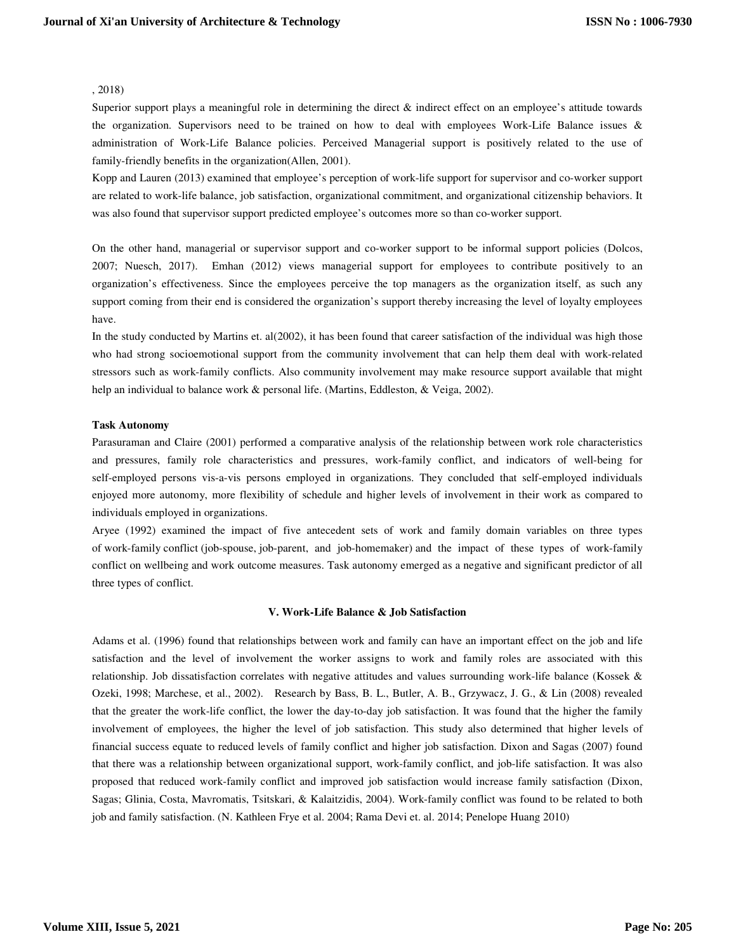## , 2018)

Superior support plays a meaningful role in determining the direct & indirect effect on an employee's attitude towards the organization. Supervisors need to be trained on how to deal with employees Work-Life Balance issues & administration of Work-Life Balance policies. Perceived Managerial support is positively related to the use of family-friendly benefits in the organization(Allen, 2001).

Kopp and Lauren (2013) examined that employee's perception of work-life support for supervisor and co-worker support are related to work-life balance, job satisfaction, organizational commitment, and organizational citizenship behaviors. It was also found that supervisor support predicted employee's outcomes more so than co-worker support.

On the other hand, managerial or supervisor support and co-worker support to be informal support policies (Dolcos, 2007; Nuesch, 2017). Emhan (2012) views managerial support for employees to contribute positively to an organization's effectiveness. Since the employees perceive the top managers as the organization itself, as such any support coming from their end is considered the organization's support thereby increasing the level of loyalty employees have.

In the study conducted by Martins et. al(2002), it has been found that career satisfaction of the individual was high those who had strong socioemotional support from the community involvement that can help them deal with work-related stressors such as work-family conflicts. Also community involvement may make resource support available that might help an individual to balance work & personal life. (Martins, Eddleston, & Veiga, 2002).

## **Task Autonomy**

Parasuraman and Claire (2001) performed a comparative analysis of the relationship between work role characteristics and pressures, family role characteristics and pressures, work-family conflict, and indicators of well-being for self-employed persons vis-a-vis persons employed in organizations. They concluded that self-employed individuals enjoyed more autonomy, more flexibility of schedule and higher levels of involvement in their work as compared to individuals employed in organizations.

Aryee (1992) examined the impact of five antecedent sets of work and family domain variables on three types of work-family conflict (job-spouse, job-parent, and job-homemaker) and the impact of these types of work-family conflict on wellbeing and work outcome measures. Task autonomy emerged as a negative and significant predictor of all three types of conflict.

## **V. Work-Life Balance & Job Satisfaction**

Adams et al. (1996) found that relationships between work and family can have an important effect on the job and life satisfaction and the level of involvement the worker assigns to work and family roles are associated with this relationship. Job dissatisfaction correlates with negative attitudes and values surrounding work-life balance (Kossek & Ozeki, 1998; Marchese, et al., 2002). Research by Bass, B. L., Butler, A. B., Grzywacz, J. G., & Lin (2008) revealed that the greater the work-life conflict, the lower the day-to-day job satisfaction. It was found that the higher the family involvement of employees, the higher the level of job satisfaction. This study also determined that higher levels of financial success equate to reduced levels of family conflict and higher job satisfaction. Dixon and Sagas (2007) found that there was a relationship between organizational support, work-family conflict, and job-life satisfaction. It was also proposed that reduced work-family conflict and improved job satisfaction would increase family satisfaction (Dixon, Sagas; Glinia, Costa, Mavromatis, Tsitskari, & Kalaitzidis, 2004). Work-family conflict was found to be related to both job and family satisfaction. (N. Kathleen Frye et al. 2004; Rama Devi et. al. 2014; Penelope Huang 2010)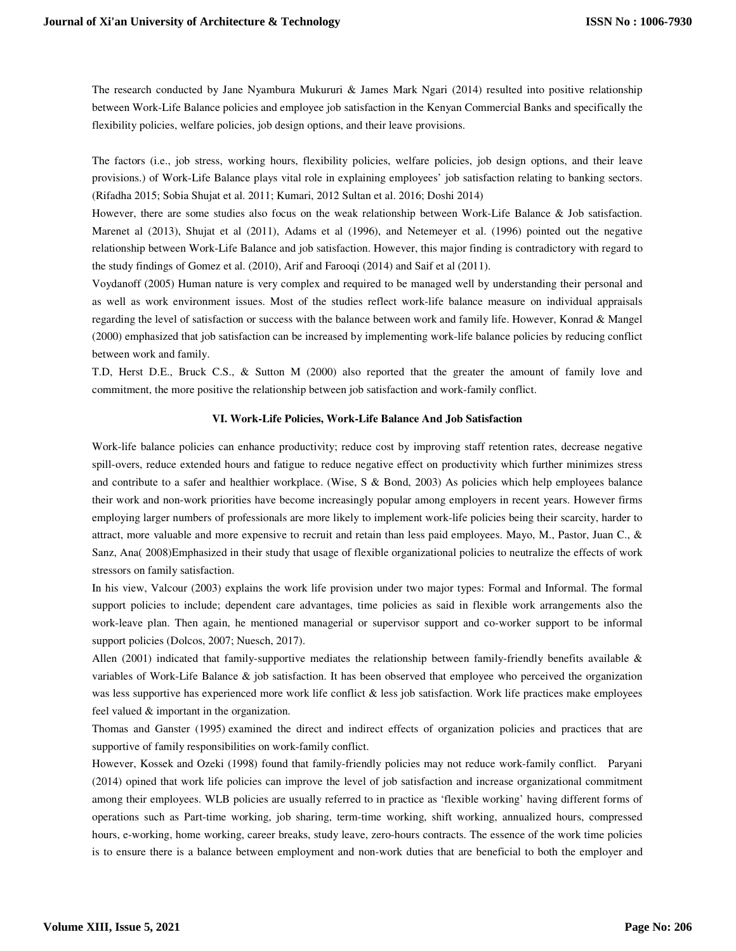The research conducted by Jane Nyambura Mukururi & James Mark Ngari (2014) resulted into positive relationship between Work-Life Balance policies and employee job satisfaction in the Kenyan Commercial Banks and specifically the flexibility policies, welfare policies, job design options, and their leave provisions.

The factors (i.e., job stress, working hours, flexibility policies, welfare policies, job design options, and their leave provisions.) of Work-Life Balance plays vital role in explaining employees' job satisfaction relating to banking sectors. (Rifadha 2015; Sobia Shujat et al. 2011; Kumari, 2012 Sultan et al. 2016; Doshi 2014)

However, there are some studies also focus on the weak relationship between Work-Life Balance & Job satisfaction. Marenet al (2013), Shujat et al (2011), Adams et al (1996), and Netemeyer et al. (1996) pointed out the negative relationship between Work-Life Balance and job satisfaction. However, this major finding is contradictory with regard to the study findings of Gomez et al. (2010), Arif and Farooqi (2014) and Saif et al (2011).

Voydanoff (2005) Human nature is very complex and required to be managed well by understanding their personal and as well as work environment issues. Most of the studies reflect work-life balance measure on individual appraisals regarding the level of satisfaction or success with the balance between work and family life. However, Konrad & Mangel (2000) emphasized that job satisfaction can be increased by implementing work-life balance policies by reducing conflict between work and family.

T.D, Herst D.E., Bruck C.S., & Sutton M (2000) also reported that the greater the amount of family love and commitment, the more positive the relationship between job satisfaction and work-family conflict.

## **VI. Work-Life Policies, Work-Life Balance And Job Satisfaction**

Work-life balance policies can enhance productivity; reduce cost by improving staff retention rates, decrease negative spill-overs, reduce extended hours and fatigue to reduce negative effect on productivity which further minimizes stress and contribute to a safer and healthier workplace. (Wise, S & Bond, 2003) As policies which help employees balance their work and non-work priorities have become increasingly popular among employers in recent years. However firms employing larger numbers of professionals are more likely to implement work-life policies being their scarcity, harder to attract, more valuable and more expensive to recruit and retain than less paid employees. Mayo, M., Pastor, Juan C., & Sanz, Ana( 2008)Emphasized in their study that usage of flexible organizational policies to neutralize the effects of work stressors on family satisfaction.

In his view, Valcour (2003) explains the work life provision under two major types: Formal and Informal. The formal support policies to include; dependent care advantages, time policies as said in flexible work arrangements also the work-leave plan. Then again, he mentioned managerial or supervisor support and co-worker support to be informal support policies (Dolcos, 2007; Nuesch, 2017).

Allen (2001) indicated that family-supportive mediates the relationship between family-friendly benefits available & variables of Work-Life Balance & job satisfaction. It has been observed that employee who perceived the organization was less supportive has experienced more work life conflict & less job satisfaction. Work life practices make employees feel valued & important in the organization.

Thomas and Ganster (1995) examined the direct and indirect effects of organization policies and practices that are supportive of family responsibilities on work-family conflict.

However, Kossek and Ozeki (1998) found that family-friendly policies may not reduce work-family conflict. Paryani (2014) opined that work life policies can improve the level of job satisfaction and increase organizational commitment among their employees. WLB policies are usually referred to in practice as 'flexible working' having different forms of operations such as Part-time working, job sharing, term-time working, shift working, annualized hours, compressed hours, e-working, home working, career breaks, study leave, zero-hours contracts. The essence of the work time policies is to ensure there is a balance between employment and non-work duties that are beneficial to both the employer and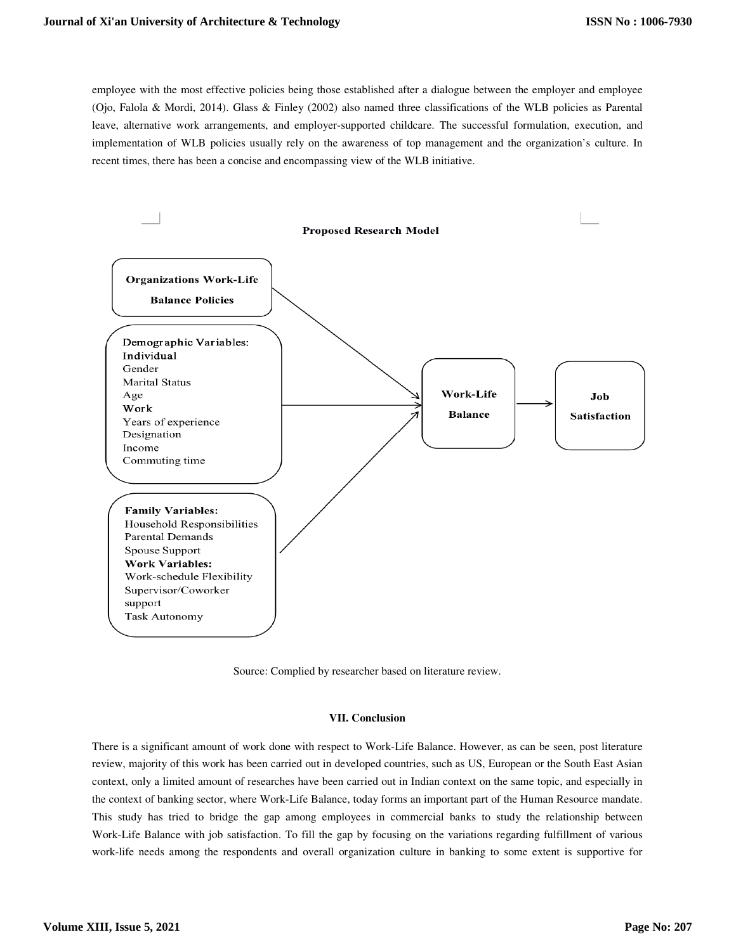employee with the most effective policies being those established after a dialogue between the employer and employee (Ojo, Falola & Mordi, 2014). Glass & Finley (2002) also named three classifications of the WLB policies as Parental leave, alternative work arrangements, and employer-supported childcare. The successful formulation, execution, and implementation of WLB policies usually rely on the awareness of top management and the organization's culture. In recent times, there has been a concise and encompassing view of the WLB initiative.



Source: Complied by researcher based on literature review.

# **VII. Conclusion**

There is a significant amount of work done with respect to Work-Life Balance. However, as can be seen, post literature review, majority of this work has been carried out in developed countries, such as US, European or the South East Asian context, only a limited amount of researches have been carried out in Indian context on the same topic, and especially in the context of banking sector, where Work-Life Balance, today forms an important part of the Human Resource mandate. This study has tried to bridge the gap among employees in commercial banks to study the relationship between Work-Life Balance with job satisfaction. To fill the gap by focusing on the variations regarding fulfillment of various work-life needs among the respondents and overall organization culture in banking to some extent is supportive for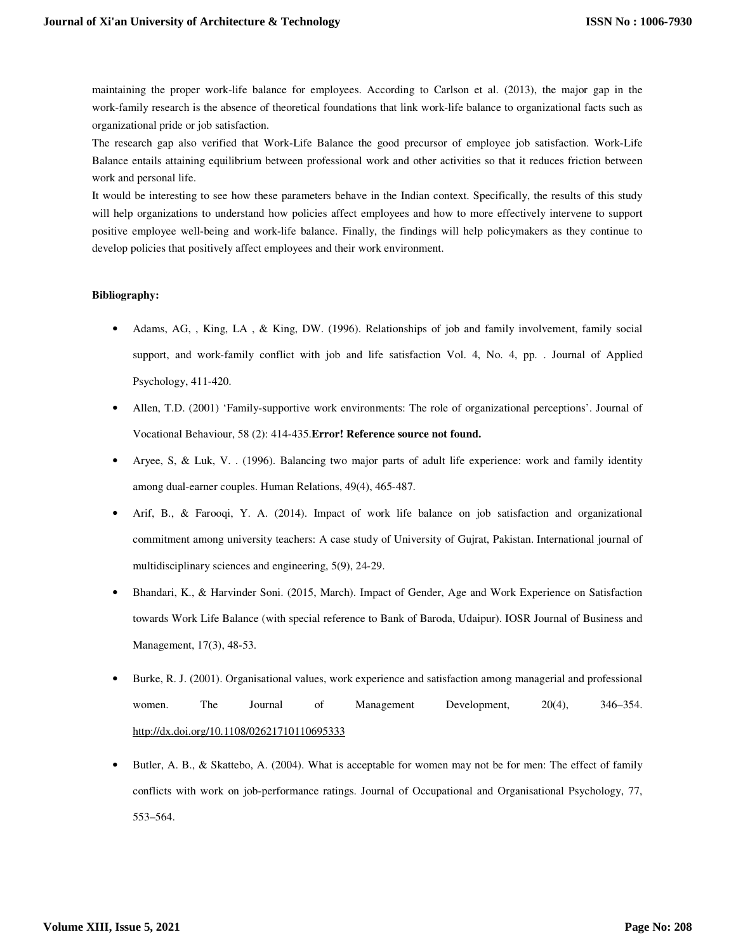maintaining the proper work-life balance for employees. According to Carlson et al. (2013), the major gap in the work-family research is the absence of theoretical foundations that link work-life balance to organizational facts such as organizational pride or job satisfaction.

The research gap also verified that Work-Life Balance the good precursor of employee job satisfaction. Work-Life Balance entails attaining equilibrium between professional work and other activities so that it reduces friction between work and personal life.

It would be interesting to see how these parameters behave in the Indian context. Specifically, the results of this study will help organizations to understand how policies affect employees and how to more effectively intervene to support positive employee well-being and work-life balance. Finally, the findings will help policymakers as they continue to develop policies that positively affect employees and their work environment.

# **Bibliography:**

- Adams, AG, , King, LA , & King, DW. (1996). Relationships of job and family involvement, family social support, and work-family conflict with job and life satisfaction Vol. 4, No. 4, pp. . Journal of Applied Psychology, 411-420.
- Allen, T.D. (2001) 'Family-supportive work environments: The role of organizational perceptions'. Journal of Vocational Behaviour, 58 (2): 414-435.**Error! Reference source not found.**
- Aryee, S, & Luk, V. . (1996). Balancing two major parts of adult life experience: work and family identity among dual-earner couples. Human Relations, 49(4), 465-487.
- Arif, B., & Farooqi, Y. A. (2014). Impact of work life balance on job satisfaction and organizational commitment among university teachers: A case study of University of Gujrat, Pakistan. International journal of multidisciplinary sciences and engineering, 5(9), 24-29.
- Bhandari, K., & Harvinder Soni. (2015, March). Impact of Gender, Age and Work Experience on Satisfaction towards Work Life Balance (with special reference to Bank of Baroda, Udaipur). IOSR Journal of Business and Management, 17(3), 48-53.
- Burke, R. J. (2001). Organisational values, work experience and satisfaction among managerial and professional women. The Journal of Management Development, 20(4), 346–354. http://dx.doi.org/10.1108/02621710110695333
- Butler, A. B., & Skattebo, A. (2004). What is acceptable for women may not be for men: The effect of family conflicts with work on job-performance ratings. Journal of Occupational and Organisational Psychology, 77, 553–564.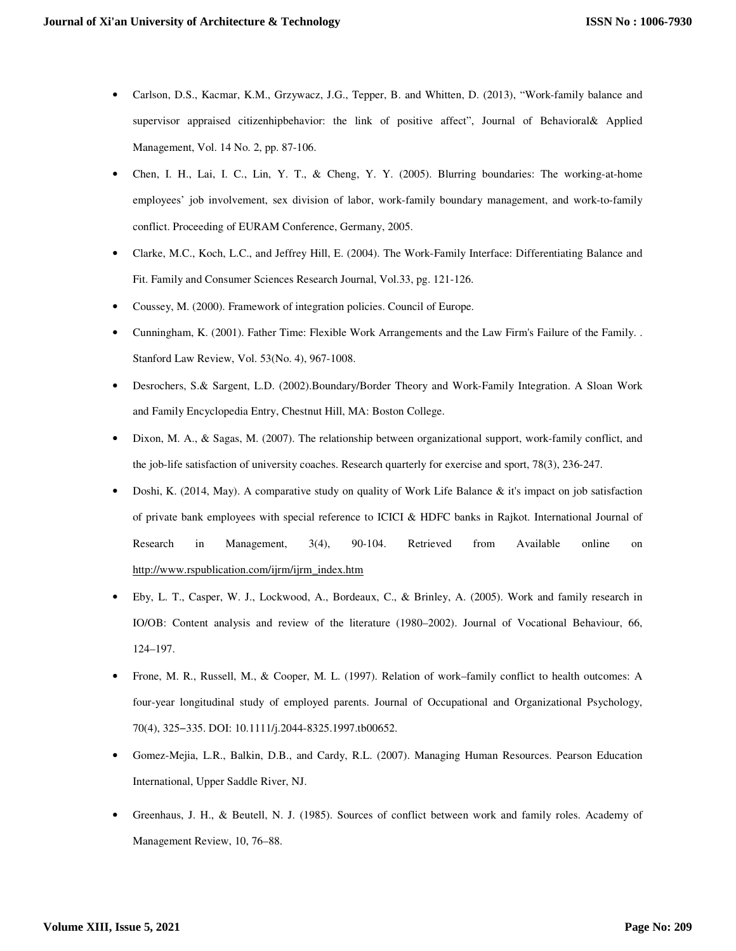- Carlson, D.S., Kacmar, K.M., Grzywacz, J.G., Tepper, B. and Whitten, D. (2013), "Work-family balance and supervisor appraised citizenhipbehavior: the link of positive affect", Journal of Behavioral& Applied Management, Vol. 14 No. 2, pp. 87-106.
- Chen, I. H., Lai, I. C., Lin, Y. T., & Cheng, Y. Y. (2005). Blurring boundaries: The working-at-home employees' job involvement, sex division of labor, work-family boundary management, and work-to-family conflict. Proceeding of EURAM Conference, Germany, 2005.
- Clarke, M.C., Koch, L.C., and Jeffrey Hill, E. (2004). The Work-Family Interface: Differentiating Balance and Fit. Family and Consumer Sciences Research Journal, Vol.33, pg. 121-126.
- Coussey, M. (2000). Framework of integration policies. Council of Europe.
- Cunningham, K. (2001). Father Time: Flexible Work Arrangements and the Law Firm's Failure of the Family. . Stanford Law Review, Vol. 53(No. 4), 967-1008.
- Desrochers, S.& Sargent, L.D. (2002).Boundary/Border Theory and Work-Family Integration. A Sloan Work and Family Encyclopedia Entry, Chestnut Hill, MA: Boston College.
- Dixon, M. A., & Sagas, M. (2007). The relationship between organizational support, work-family conflict, and the job-life satisfaction of university coaches. Research quarterly for exercise and sport, 78(3), 236-247.
- Doshi, K. (2014, May). A comparative study on quality of Work Life Balance & it's impact on job satisfaction of private bank employees with special reference to ICICI & HDFC banks in Rajkot. International Journal of Research in Management, 3(4), 90-104. Retrieved from Available online on http://www.rspublication.com/ijrm/ijrm\_index.htm
- Eby, L. T., Casper, W. J., Lockwood, A., Bordeaux, C., & Brinley, A. (2005). Work and family research in IO/OB: Content analysis and review of the literature (1980–2002). Journal of Vocational Behaviour, 66, 124–197.
- Frone, M. R., Russell, M., & Cooper, M. L. (1997). Relation of work–family conflict to health outcomes: A four-year longitudinal study of employed parents. Journal of Occupational and Organizational Psychology, 70(4), 325−335. DOI: 10.1111/j.2044-8325.1997.tb00652.
- Gomez-Mejia, L.R., Balkin, D.B., and Cardy, R.L. (2007). Managing Human Resources. Pearson Education International, Upper Saddle River, NJ.
- Greenhaus, J. H., & Beutell, N. J. (1985). Sources of conflict between work and family roles. Academy of Management Review, 10, 76–88.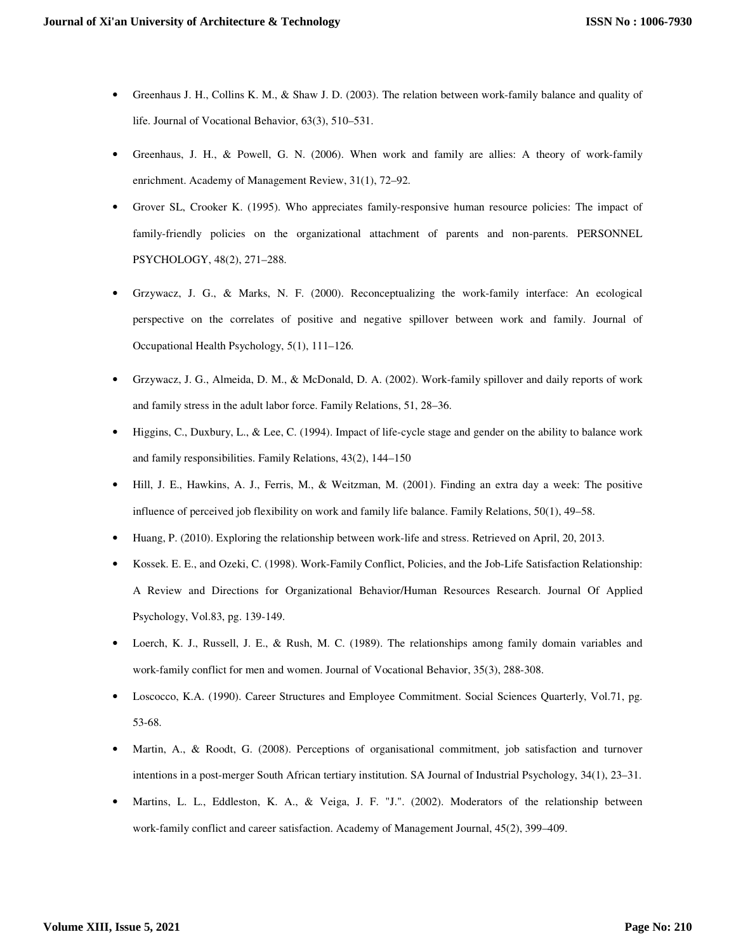- Greenhaus J. H., Collins K. M., & Shaw J. D. (2003). The relation between work-family balance and quality of life. Journal of Vocational Behavior, 63(3), 510–531.
- Greenhaus, J. H., & Powell, G. N. (2006). When work and family are allies: A theory of work-family enrichment. Academy of Management Review, 31(1), 72–92.
- Grover SL, Crooker K. (1995). Who appreciates family-responsive human resource policies: The impact of family-friendly policies on the organizational attachment of parents and non-parents. PERSONNEL PSYCHOLOGY, 48(2), 271–288.
- Grzywacz, J. G., & Marks, N. F. (2000). Reconceptualizing the work-family interface: An ecological perspective on the correlates of positive and negative spillover between work and family. Journal of Occupational Health Psychology, 5(1), 111–126.
- Grzywacz, J. G., Almeida, D. M., & McDonald, D. A. (2002). Work-family spillover and daily reports of work and family stress in the adult labor force. Family Relations, 51, 28–36.
- Higgins, C., Duxbury, L., & Lee, C. (1994). Impact of life-cycle stage and gender on the ability to balance work and family responsibilities. Family Relations, 43(2), 144–150
- Hill, J. E., Hawkins, A. J., Ferris, M., & Weitzman, M. (2001). Finding an extra day a week: The positive influence of perceived job flexibility on work and family life balance. Family Relations, 50(1), 49–58.
- Huang, P. (2010). Exploring the relationship between work-life and stress. Retrieved on April, 20, 2013.
- Kossek. E. E., and Ozeki, C. (1998). Work-Family Conflict, Policies, and the Job-Life Satisfaction Relationship: A Review and Directions for Organizational Behavior/Human Resources Research. Journal Of Applied Psychology, Vol.83, pg. 139-149.
- Loerch, K. J., Russell, J. E., & Rush, M. C. (1989). The relationships among family domain variables and work-family conflict for men and women. Journal of Vocational Behavior, 35(3), 288-308.
- Loscocco, K.A. (1990). Career Structures and Employee Commitment. Social Sciences Quarterly, Vol.71, pg. 53-68.
- Martin, A., & Roodt, G. (2008). Perceptions of organisational commitment, job satisfaction and turnover intentions in a post-merger South African tertiary institution. SA Journal of Industrial Psychology, 34(1), 23–31.
- Martins, L. L., Eddleston, K. A., & Veiga, J. F. "J.". (2002). Moderators of the relationship between work-family conflict and career satisfaction. Academy of Management Journal, 45(2), 399–409.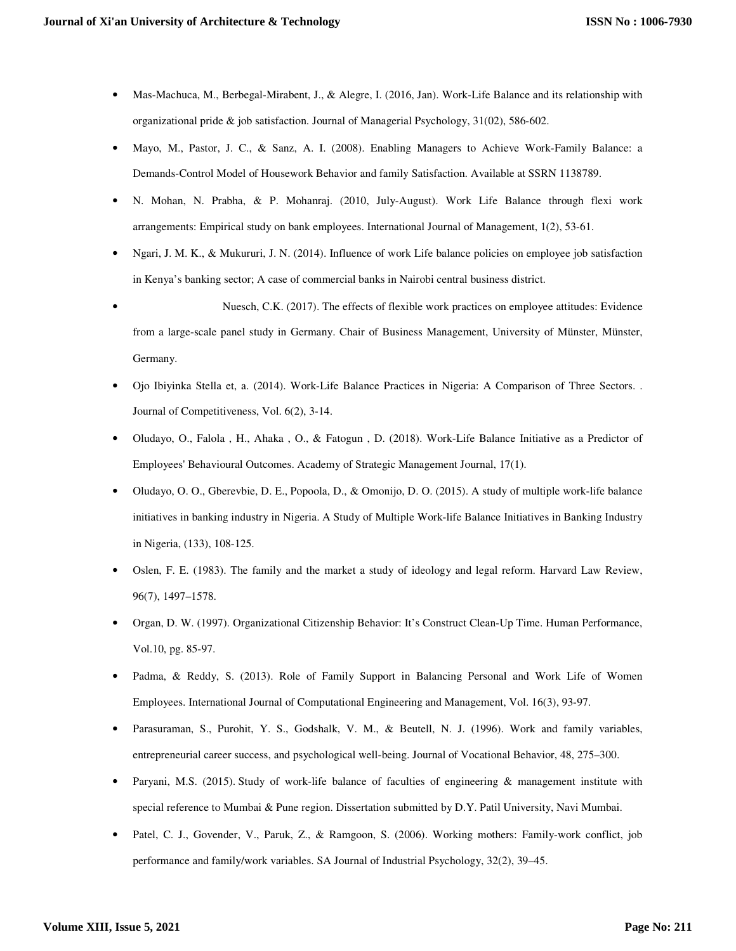- Mas-Machuca, M., Berbegal-Mirabent, J., & Alegre, I. (2016, Jan). Work-Life Balance and its relationship with organizational pride & job satisfaction. Journal of Managerial Psychology, 31(02), 586-602.
- Mayo, M., Pastor, J. C., & Sanz, A. I. (2008). Enabling Managers to Achieve Work-Family Balance: a Demands-Control Model of Housework Behavior and family Satisfaction. Available at SSRN 1138789.
- N. Mohan, N. Prabha, & P. Mohanraj. (2010, July-August). Work Life Balance through flexi work arrangements: Empirical study on bank employees. International Journal of Management, 1(2), 53-61.
- Ngari, J. M. K., & Mukururi, J. N. (2014). Influence of work Life balance policies on employee job satisfaction in Kenya's banking sector; A case of commercial banks in Nairobi central business district.
- Nuesch, C.K. (2017). The effects of flexible work practices on employee attitudes: Evidence from a large-scale panel study in Germany. Chair of Business Management, University of Münster, Münster, Germany.
- Ojo Ibiyinka Stella et, a. (2014). Work-Life Balance Practices in Nigeria: A Comparison of Three Sectors. . Journal of Competitiveness, Vol. 6(2), 3-14.
- Oludayo, O., Falola , H., Ahaka , O., & Fatogun , D. (2018). Work-Life Balance Initiative as a Predictor of Employees' Behavioural Outcomes. Academy of Strategic Management Journal, 17(1).
- Oludayo, O. O., Gberevbie, D. E., Popoola, D., & Omonijo, D. O. (2015). A study of multiple work-life balance initiatives in banking industry in Nigeria. A Study of Multiple Work-life Balance Initiatives in Banking Industry in Nigeria, (133), 108-125.
- Oslen, F. E. (1983). The family and the market a study of ideology and legal reform. Harvard Law Review, 96(7), 1497–1578.
- Organ, D. W. (1997). Organizational Citizenship Behavior: It's Construct Clean-Up Time. Human Performance, Vol.10, pg. 85-97.
- Padma, & Reddy, S. (2013). Role of Family Support in Balancing Personal and Work Life of Women Employees. International Journal of Computational Engineering and Management, Vol. 16(3), 93-97.
- Parasuraman, S., Purohit, Y. S., Godshalk, V. M., & Beutell, N. J. (1996). Work and family variables, entrepreneurial career success, and psychological well-being. Journal of Vocational Behavior, 48, 275–300.
- Paryani, M.S. (2015). Study of work-life balance of faculties of engineering & management institute with special reference to Mumbai & Pune region. Dissertation submitted by D.Y. Patil University, Navi Mumbai.
- Patel, C. J., Govender, V., Paruk, Z., & Ramgoon, S. (2006). Working mothers: Family-work conflict, job performance and family/work variables. SA Journal of Industrial Psychology, 32(2), 39–45.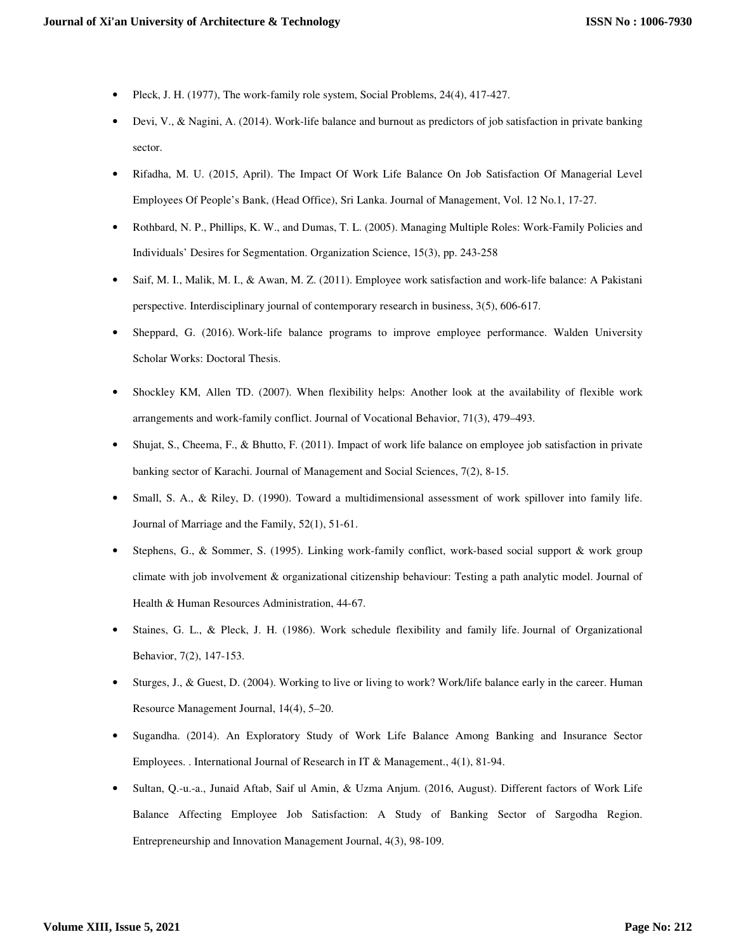- Pleck, J. H. (1977), The work-family role system, Social Problems, 24(4), 417-427.
- Devi, V., & Nagini, A. (2014). Work-life balance and burnout as predictors of job satisfaction in private banking sector.
- Rifadha, M. U. (2015, April). The Impact Of Work Life Balance On Job Satisfaction Of Managerial Level Employees Of People's Bank, (Head Office), Sri Lanka. Journal of Management, Vol. 12 No.1, 17-27.
- Rothbard, N. P., Phillips, K. W., and Dumas, T. L. (2005). Managing Multiple Roles: Work-Family Policies and Individuals' Desires for Segmentation. Organization Science, 15(3), pp. 243-258
- Saif, M. I., Malik, M. I., & Awan, M. Z. (2011). Employee work satisfaction and work-life balance: A Pakistani perspective. Interdisciplinary journal of contemporary research in business, 3(5), 606-617.
- Sheppard, G. (2016). Work-life balance programs to improve employee performance. Walden University Scholar Works: Doctoral Thesis.
- Shockley KM, Allen TD. (2007). When flexibility helps: Another look at the availability of flexible work arrangements and work-family conflict. Journal of Vocational Behavior, 71(3), 479–493.
- Shujat, S., Cheema, F., & Bhutto, F. (2011). Impact of work life balance on employee job satisfaction in private banking sector of Karachi. Journal of Management and Social Sciences, 7(2), 8-15.
- Small, S. A., & Riley, D. (1990). Toward a multidimensional assessment of work spillover into family life. Journal of Marriage and the Family, 52(1), 51-61.
- Stephens, G., & Sommer, S. (1995). Linking work-family conflict, work-based social support & work group climate with job involvement & organizational citizenship behaviour: Testing a path analytic model. Journal of Health & Human Resources Administration, 44-67.
- Staines, G. L., & Pleck, J. H. (1986). Work schedule flexibility and family life. Journal of Organizational Behavior, 7(2), 147-153.
- Sturges, J., & Guest, D. (2004). Working to live or living to work? Work/life balance early in the career. Human Resource Management Journal, 14(4), 5–20.
- Sugandha. (2014). An Exploratory Study of Work Life Balance Among Banking and Insurance Sector Employees. . International Journal of Research in IT & Management., 4(1), 81-94.
- Sultan, Q.-u.-a., Junaid Aftab, Saif ul Amin, & Uzma Anjum. (2016, August). Different factors of Work Life Balance Affecting Employee Job Satisfaction: A Study of Banking Sector of Sargodha Region. Entrepreneurship and Innovation Management Journal, 4(3), 98-109.